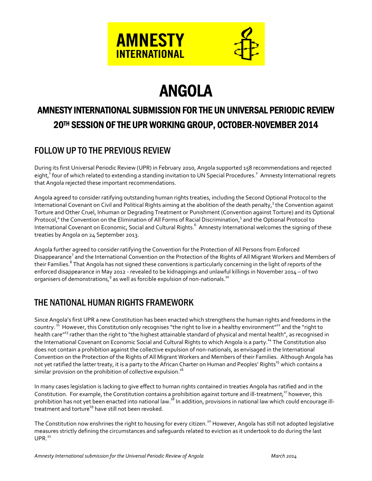

# ANGOLA

## AMNESTY INTERNATIONAL SUBMISSION FOR THE UN UNIVERSAL PERIODIC REVIEW 20TH SESSION OF THE UPR WORKING GROUP, OCTOBER-NOVEMBER 2014

### FOLLOW UP TO THE PREVIOUS REVIEW

During its first Universal Periodic Review (UPR) in February 2010, Angola supported 158 recommendations and rejected eight, <sup>1</sup> four of which related to extending a standing invitation to UN Special Procedures.<sup>2</sup> Amnesty International regrets that Angola rejected these important recommendations.

Angola agreed to consider ratifying outstanding human rights treaties, including the Second Optional Protocol to the International Covenant on Civil and Political Rights aiming at the abolition of the death penalty,<sup>3</sup> the Convention against Torture and Other Cruel, Inhuman or Degrading Treatment or Punishment (Convention against Torture) and its Optional Protocol,<sup>4</sup> the Convention on the Elimination of All Forms of Racial Discrimination,<sup>5</sup> and the Optional Protocol to International Covenant on Economic, Social and Cultural Rights.<sup>6</sup> Amnesty International welcomes the signing of these treaties by Angola on 24 September 2013.

Angola further agreed to consider ratifying the Convention for the Protection of All Persons from Enforced Disappearance<sup>7</sup> and the International Convention on the Protection of the Rights of All Migrant Workers and Members of their Families.<sup>8</sup> That Angola has not signed these conventions is particularly concerning in the light of reports of the enforced disappearance in May 2012 - revealed to be kidnappings and unlawful killings in November 2014 – of two organisers of demonstrations,  $9$  as well as forcible expulsion of non-nationals.<sup>10</sup>

### THE NATIONAL HUMAN RIGHTS FRAMEWORK

Since Angola's first UPR a new Constitution has been enacted which strengthens the human rights and freedoms in the country. <sup>11</sup> However, this Constitution only recognises "the right to live in a healthy environment"<sup>12</sup> and the "right to health care<sup>"<sup>13</sup> rather than the right to "the highest attainable standard of physical and mental health", as recognised in</sup> the International Covenant on Economic Social and Cultural Rights to which Angola is a party.<sup>14</sup> The Constitution also does not contain a prohibition against the collective expulsion of non-nationals, as envisaged in the International Convention on the Protection of the Rights of All Migrant Workers and Members of their Families. Although Angola has not yet ratified the latter treaty, it is a party to the African Charter on Human and Peoples' Rights<sup>15</sup> which contains a similar provision on the prohibition of collective expulsion.<sup>16</sup>

In many cases legislation is lacking to give effect to human rights contained in treaties Angola has ratified and in the Constitution. For example, the Constitution contains a prohibition against torture and ill-treatment;<sup>17</sup> however, this prohibition has not yet been enacted into national law.<sup>18</sup> In addition, provisions in national law which could encourage illtreatment and torture<sup>19</sup> have still not been revoked.

The Constitution now enshrines the right to housing for every citizen.<sup>20</sup> However, Angola has still not adopted legislative measures strictly defining the circumstances and safeguards related to eviction as it undertook to do during the last  $UPR<sup>21</sup>$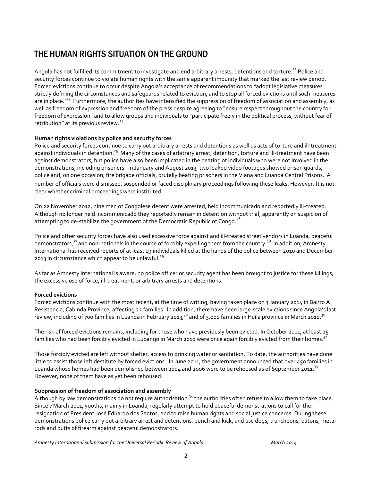### THE HUMAN RIGHTS SITUATION ON THE GROUND

Angola has not fulfilled its commitment to investigate and end arbitrary arrests, detentions and torture.<sup>22</sup> Police and security forces continue to violate human rights with the same apparent impunity that marked the last review period. Forced evictions continue to occur despite Angola's acceptance of recommendations to "adopt legislative measures strictly defining the circumstances and safeguards related to eviction, and to stop all forced evictions until such measures are in place."<sup>23</sup> Furthermore, the authorities have intensified the suppression of freedom of association and assembly, as well as freedom of expression and freedom of the press despite agreeing to "ensure respect throughout the country for freedom of expression" and to allow groups and individuals to "participate freely in the political process, without fear of retribution" at its previous review.<sup>24</sup>

### **Human rights violations by police and security forces**

Police and security forces continue to carry out arbitrary arrests and detentions as well as acts of torture and ill-treatment against individuals in detention.<sup>25</sup> Many of the cases of arbitrary arrest, detention, torture and ill-treatment have been against demonstrators, but police have also been implicated in the beating of individuals who were not involved in the demonstrations, including prisoners. In January and August 2013, two leaked video footages showed prison guards, police and, on one occasion, fire brigade officials, brutally beating prisoners in the Viana and Luanda Central Prisons. A number of officials were dismissed, suspended or faced disciplinary proceedings following these leaks. However, it is not clear whether criminal proceedings were instituted.

On 22 November 2012, nine men of Congolese decent were arrested, held incommunicado and reportedly ill-treated. Although no longer held incommunicado they reportedly remain in detention without trial, apparently on suspicion of attempting to de-stabilize the government of the Democratic Republic of Congo.<sup>26</sup>

Police and other security forces have also used excessive force against and ill-treated street vendors in Luanda, peaceful demonstrators,<sup>27</sup> and non-nationals in the course of forcibly expelling them from the country.<sup>28</sup> In addition, Amnesty International has received reports of at least 19 individuals killed at the hands of the police between 2010 and December 2013 in circumstance which appear to be unlawful.<sup>29</sup>

As far as Amnesty International is aware, no police officer or security agent has been brought to justice for these killings, the excessive use of force, ill-treatment, or arbitrary arrests and detentions.

#### **Forced evictions**

Forced evictions continue with the most recent, at the time of writing, having taken place on 3 January 2014 in Bairro A Resistencia, Cabinda Province, affecting 22 families. In addition, there have been large-scale evictions since Angola's last review, including of 700 families in Luanda in February 2013,<sup>30</sup> and of 3,000 families in Huíla province in March 2010.<sup>31</sup>

The risk of forced evictions remains, including for those who have previously been evicted. In October 2011, at least 25 families who had been forcibly evicted in Lubango in March 2010 were once again forcibly evicted from their homes. $^{32}$ 

Those forcibly evicted are left without shelter, access to drinking water or sanitation. To date, the authorities have done little to assist those left destitute by forced evictions. In June 2011, the government announced that over 450 families in Luanda whose homes had been demolished between 2004 and 2006 were to be rehoused as of September 2011.<sup>33</sup> However, none of them have as yet been rehoused.

#### **Suppression of freedom of association and assembly**

Although by law demonstrations do not require authorisation,<sup>34</sup> the authorities often refuse to allow them to take place. Since 7 March 2011, youths, mainly in Luanda, regularly attempt to hold peaceful demonstrations to call for the resignation of President José Eduardo dos Santos, and to raise human rights and social justice concerns. During these demonstrations police carry out arbitrary arrest and detentions, punch and kick, and use dogs, truncheons, batons, metal rods and butts of firearm against peaceful demonstrators.

*Amnesty International submission for the Universal Periodic Review of Angola March 2014*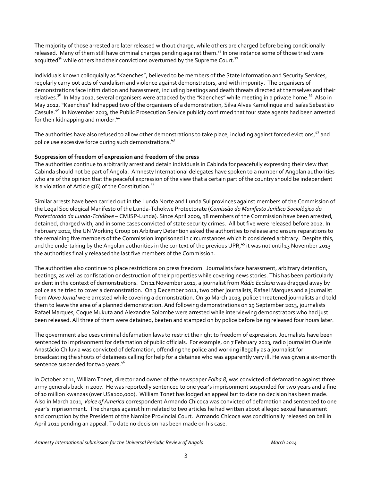The majority of those arrested are later released without charge, while others are charged before being conditionally released. Many of them still have criminal charges pending against them.<sup>35</sup> In one instance some of those tried were acquitted<sup>36</sup> while others had their convictions overturned by the Supreme Court.<sup>37</sup>

Individuals known colloquially as "Kaenches", believed to be members of the State Information and Security Services, regularly carry out acts of vandalism and violence against demonstrators, and with impunity. The organisers of demonstrations face intimidation and harassment, including beatings and death threats directed at themselves and their relatives.<sup>38</sup> In May 2012, several organisers were attacked by the "Kaenches" while meeting in a private home.<sup>39</sup> Also in May 2012, "Kaenches" kidnapped two of the organisers of a demonstration, Silva Alves Kamulingue and Isaías Sebastião Cassule.<sup>40</sup> In November 2013, the Public Prosecution Service publicly confirmed that four state agents had been arrested for their kidnapping and murder.<sup>41</sup>

The authorities have also refused to allow other demonstrations to take place, including against forced evictions, $^{42}$  and police use excessive force during such demonstrations.<sup>43</sup>

### **Suppression of freedom of expression and freedom of the press**

The authorities continue to arbitrarily arrest and detain individuals in Cabinda for peacefully expressing their view that Cabinda should not be part of Angola. Amnesty International delegates have spoken to a number of Angolan authorities who are of the opinion that the peaceful expression of the view that a certain part of the country should be independent is a violation of Article  $5(6)$  of the Constitution.<sup>44</sup>

Similar arrests have been carried out in the Lunda Norte and Lunda Sul provinces against members of the Commission of the Legal Sociological Manifesto of the Lunda-Tchokwe Protectorate (*Comissão do Manifesto Jurídico Sociológico do Protectorado da Lunda-Tchókwe* – CMJSP-Lunda). Since April 2009, 38 members of the Commission have been arrested, detained, charged with, and in some cases convicted of state security crimes. All but five were released before 2012. In February 2012, the UN Working Group on Arbitrary Detention asked the authorities to release and ensure reparations to the remaining five members of the Commission imprisoned in circumstances which it considered arbitrary. Despite this, and the undertaking by the Angolan authorities in the context of the previous UPR,<sup>45</sup> it was not until 13 November 2013 the authorities finally released the last five members of the Commission.

The authorities also continue to place restrictions on press freedom. Journalists face harassment, arbitrary detention, beatings, as well as confiscation or destruction of their properties while covering news stories. This has been particularly evident in the context of demonstrations. On 11 November 2011, a journalist from *Rádio Ecclesia* was dragged away by police as he tried to cover a demonstration. On 3 December 2011, two other journalists, Rafael Marques and a journalist from *Novo Jornal* were arrested while covering a demonstration. On 30 March 2013, police threatened journalists and told them to leave the area of a planned demonstration. And following demonstrations on 19 September 2013, journalists Rafael Marques, Coque Mukuta and Alexandre Solombe were arrested while interviewing demonstrators who had just been released. All three of them were detained, beaten and stamped on by police before being released four hours later.

The government also uses criminal defamation laws to restrict the right to freedom of expression. Journalists have been sentenced to imprisonment for defamation of public officials. For example, on 7 February 2013, radio journalist Queirós Anastácio Chiluvia was convicted of defamation, offending the police and working illegally as a journalist for broadcasting the shouts of detainees calling for help for a detainee who was apparently very ill. He was given a six-month sentence suspended for two years.<sup>46</sup>

In October 2011, William Tonet, director and owner of the newspaper *Folha 8*, was convicted of defamation against three army generals back in 2007. He was reportedly sentenced to one year's imprisonment suspended for two years and a fine of 10 million kwanzas (over US\$100,000). William Tonet has lodged an appeal but to date no decision has been made. Also in March 2011, *Voice of America* correspondent Armando Chicoca was convicted of defamation and sentenced to one year's imprisonment. The charges against him related to two articles he had written about alleged sexual harassment and corruption by the President of the Namibe Provincial Court. Armando Chicoca was conditionally released on bail in April 2011 pending an appeal. To date no decision has been made on his case.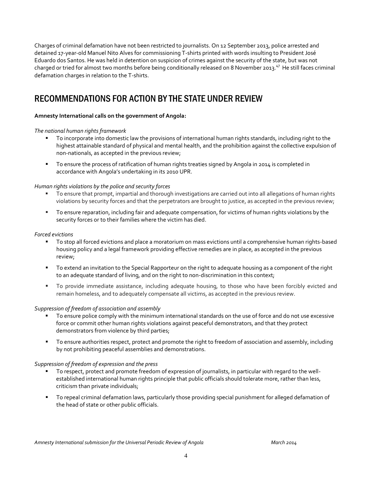Charges of criminal defamation have not been restricted to journalists. On 12 September 2013, police arrested and detained 17-year-old Manuel Nito Alves for commissioning T-shirts printed with words insulting to President José Eduardo dos Santos. He was held in detention on suspicion of crimes against the security of the state, but was not charged or tried for almost two months before being conditionally released on 8 November 2013.<sup>47</sup> He still faces criminal defamation charges in relation to the T-shirts.

### RECOMMENDATIONS FOR ACTION BY THE STATE UNDER REVIEW

### **Amnesty International calls on the government of Angola:**

### *The national human rights framework*

- To incorporate into domestic law the provisions of international human rights standards, including right to the highest attainable standard of physical and mental health, and the prohibition against the collective expulsion of non-nationals, as accepted in the previous review;
- **To ensure the process of ratification of human rights treaties signed by Angola in 2014 is completed in** accordance with Angola's undertaking in its 2010 UPR.

### *Human rights violations by the police and security forces*

- To ensure that prompt, impartial and thorough investigations are carried out into all allegations of human rights violations by security forces and that the perpetrators are brought to justice, as accepted in the previous review;
- To ensure reparation, including fair and adequate compensation, for victims of human rights violations by the security forces or to their families where the victim has died.

### *Forced evictions*

- To stop all forced evictions and place a moratorium on mass evictions until a comprehensive human rights-based housing policy and a legal framework providing effective remedies are in place, as accepted in the previous review;
- To extend an invitation to the Special Rapporteur on the right to adequate housing as a component of the right to an adequate standard of living, and on the right to non-discrimination in this context;
- To provide immediate assistance, including adequate housing, to those who have been forcibly evicted and remain homeless, and to adequately compensate all victims, as accepted in the previous review.

#### *Suppression of freedom of association and assembly*

- To ensure police comply with the minimum international standards on the use of force and do not use excessive force or commit other human rights violations against peaceful demonstrators, and that they protect demonstrators from violence by third parties;
- To ensure authorities respect, protect and promote the right to freedom of association and assembly, including by not prohibiting peaceful assemblies and demonstrations.

### *Suppression of freedom of expression and the press*

- To respect, protect and promote freedom of expression of journalists, in particular with regard to the wellestablished international human rights principle that public officials should tolerate more, rather than less, criticism than private individuals;
- To repeal criminal defamation laws, particularly those providing special punishment for alleged defamation of the head of state or other public officials.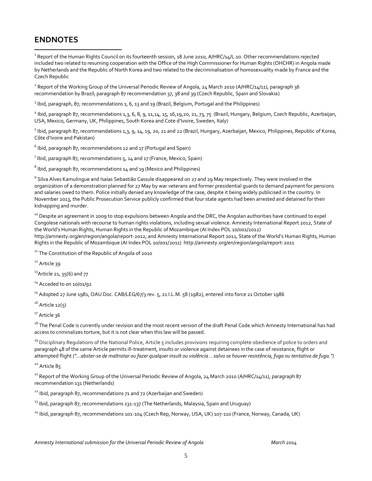### **ENDNOTES**

 $\overline{a}$ 

 $^1$  Report of the Human Rights Council on its fourteenth session, 18 June 2010, A/HRC/14/L.10. Other recommendations rejected included two related to resuming cooperation with the Office of the High Commissioner for Human Rights (OHCHR) in Angola made by Netherlands and the Republic of North Korea and two related to the decriminalisation of homosexuality made by France and the Czech Republic

 $^2$  Report of the Working Group of the Universal Periodic Review of Angola, 24 March 2010 (A/HRC/14/11), paragraph 36 recommendation by Brazil; paragraph 87 recommendation 37, 38 and 39 (Czech Republic, Spain and Slovakia)

<sup>3</sup> Ibid, paragraph, 87, recommendations 1, 6, 13 and 19 (Brazil, Belgium, Portugal and the Philippines)

4 Ibid, paragraph 87, recommendations 1,3, 6, 8, 9, 11,14, 15, 16,19,20, 21, 73, 75 (Brazil, Hungary, Belgium, Czech Republic, Azerbaijan, USA, Mexico, Germany, UK, Philippines, South Korea and Cote d'Ivoire, Sweden, Italy)

<sup>5</sup> Ibid, paragraph 87, recommendations 1,3, 9, 14, 19, 20, 21 and 22 (Brazil, Hungary, Azerbaijan, Mexico, Philippines, Republic of Korea, Côte d'Ivoire and Pakistan)

 $^6$  Ibid, paragraph 87, recommendations 12 and 17 (Portugal and Spain)

 $^7$  Ibid, paragraph 87, recommendations 5, 14 and 17 (France, Mexico, Spain)

 $^8$  Ibid, paragraph 87, recommendations 14 and 19 (Mexico and Philippines)

<sup>9</sup> Silva Alves Kamulingue and Isaías Sebastião Cassule disappeared on 27 and 29 May respectively. They were involved in the organization of a demonstration planned for 27 May by war veterans and former presidential guards to demand payment for pensions and salaries owed to them. Police initially denied any knowledge of the case, despite it being widely publicised in the country. In November 2013, the Public Prosecution Service publicly confirmed that four state agents had been arrested and detained for their kidnapping and murder.

<sup>10</sup> Despite an agreement in 2009 to stop expulsions between Angola and the DRC, the Angolan authorities have continued to expel Congolese nationals with recourse to human rights violations, including sexual violence. Amnesty International Report 2012, State of the World's Human Rights, Human Rights in the Republic of Mozambique (AI Index POL 10/001/2012) http://amnesty.org/en/region/angola/report-2012; and Amnesty International Report 2011, State of the World's Human Rights, Human Rights in the Republic of Mozambique (AI Index POL 10/001/2011) http://amnesty.org/en/region/angola/report-2011

<sup>11</sup> The Constitution of the Republic of Angola of 2010

12 Article 39

 $^{13}$ Article 21, 35(6) and 77

 $14$  Acceded to on 10/01/92

<sup>15</sup> Adopted 27 June 1981, OAU Doc. CAB/LEG/67/3 rev. 5, 21 I.L.M. 58 (1982), entered into force 21 October 1986

 $16$  Article 12(5)

 $17$  Article 36

<sup>18</sup> The Penal Code is currently under revision and the most recent version of the draft Penal Code which Amnesty International has had access to criminalizes torture, but it is not clear when this law will be passed.

<sup>19</sup> Disciplinary Regulations of the National Police, Article 5 includes provisions requiring complete obedience of police to orders and paragraph 48 of the same Article permits ill-treatment, insults or violence against detainees in the case of resistance, flight or attempted flight *("…abster-se de maltratar ou fazer qualquer insult ou violência …salvo se houver resistência, fuga ou tentativa de fuga.")*

20 Article 85

<sup>21</sup> Report of the Working Group of the Universal Periodic Review of Angola, 24 March 2010 (A/HRC/14/11), paragraph 87 recommendation 131 (Netherlands)

 $22$  Ibid, paragraph 87, recommendations 71 and 72 (Azerbaijan and Sweden)

<sup>23</sup> Ibid, paragraph 87, recommendations 131-137 (The Netherlands, Malaysia, Spain and Uruguay)

<sup>24</sup> Ibid, paragraph 87, recommendations 101-104 (Czech Rep, Norway, USA, UK) 107-110 (France, Norway, Canada, UK)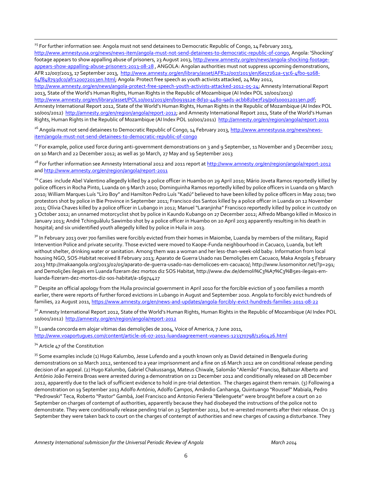<sup>25</sup> For further information see: Angola must not send detainees to Democratic Republic of Congo, 14 February 2013, <http://www.amnestyusa.org/news/news-item/angola-must-not-send-detainees-to-democratic-republic-of-congo>, Angola: 'Shocking' footage appears to show appalling abuse of prisoners, 23 August 2013[, http://www.amnesty.org/en/news/angola-shocking-footage](http://www.amnesty.org/en/news/angola-shocking-footage-appears-show-appalling-abuse-prisoners-2013-08-28)[appears-show-appalling-abuse-prisoners-2013-08-28](http://www.amnesty.org/en/news/angola-shocking-footage-appears-show-appalling-abuse-prisoners-2013-08-28) , ANGOLA: Angolan authorities must not suppress upcoming demonstrations, AFR 12/007/2013, 17 September 2013, [http://www.amnesty.org/en/library/asset/AFR12/007/2013/en/6e17262a-53c6-4fb0-9268-](http://www.amnesty.org/en/library/asset/AFR12/007/2013/en/6e17262a-53c6-4fb0-9268-64f848793dc0/afr120072013en.html) [64f848793dc0/afr120072013en.html;](http://www.amnesty.org/en/library/asset/AFR12/007/2013/en/6e17262a-53c6-4fb0-9268-64f848793dc0/afr120072013en.html) Angola: Protect free speech as youth activists attacked, 24 May 2012, [http://www.amnesty.org/en/news/angola-protect-free-speech-youth-activists-attacked-2012-05-24;](http://www.amnesty.org/en/news/angola-protect-free-speech-youth-activists-attacked-2012-05-24) Amnesty International Report 2013, State of the World's Human Rights, Human Rights in the Republic of Mozambique (AI Index POL 10/001/2013)

[http://www.amnesty.org/en/library/asset/POL10/001/2013/en/b093912e-8d30-4480-9ad1-acbb82be7f29/pol100012013en.pdf;](http://www.amnesty.org/en/library/asset/POL10/001/2013/en/b093912e-8d30-4480-9ad1-acbb82be7f29/pol100012013en.pdf)  Amnesty International Report 2012, State of the World's Human Rights, Human Rights in the Republic of Mozambique (AI Index POL 10/001/2012) [http://amnesty.org/en/region/angola/report-2012;](http://amnesty.org/en/region/angola/report-2012) and Amnesty International Report 2011, State of the World's Human Rights, Human Rights in the Republic of Mozambique (AI Index POL 10/001/2011)<http://amnesty.org/en/region/angola/report-2011>

<sup>26</sup> Angola must not send detainees to Democratic Republic of Congo, 14 February 2013[, http://www.amnestyusa.org/news/news](http://www.amnestyusa.org/news/news-item/angola-must-not-send-detainees-to-democratic-republic-of-congo)[item/angola-must-not-send-detainees-to-democratic-republic-of-congo](http://www.amnestyusa.org/news/news-item/angola-must-not-send-detainees-to-democratic-republic-of-congo)

<sup>27</sup> For example, police used force during anti-government demonstrations on 3 and 9 September, 11 November and 3 December 2011; on 10 March and 22 December 2012; as well as 30 March, 27 May and 19 September 2013

<sup>28</sup> For further information see Amnesty International 2012 and 2011 report at http://www.amnesty.org/en/region/angola/report-2012 an[d http://www.amnesty.org/en/region/angola/report-2011](http://www.amnesty.org/en/region/angola/report-2011)

<sup>29</sup> Cases include Abel Valentino allegedly killed by a police officer in Huambo on 29 April 2010; Mário Joveta Ramos reportedly killed by police officers in Rocha Pinto, Luanda on 9 March 2010; Dominguinha Ramos reportedly killed by police officers in Luanda on 9 March 2010; William Marques Luís "Líro Boy" and Hamilton Pedro Luís "Kadú" believed to have been killed by police officers in May 2010; two protestors shot by police in Bie Province in September 2011; Francisco dos Santos killed by a police officer in Luanda on 12 November 2011; Olívia Chaves killed by a police officer in Lubango in 2012; Manuel "Laranjinha" Francisco reportedly killed by police in custody on 3 October 2012; an unnamed motorcyclist shot by police in Kaundo Kubango on 27 December 2012; Alfredo Mbango killed in Moxico in January 2013; André Tchinguãlulu Sawimbo shot by a police officer in Huambo on 20 April 2013 apparently resulting in his death in hospital; and six unidentified youth allegedly killed by police in Huíla in 2013.

 $3^{\circ}$  In February 2013 over 700 families were forcibly evicted from their homes in Maiombe, Luanda by members of the military, Rapid Intervention Police and private security. Those evicted were moved to Kaope-Funda neighbourhood in Cacuaco, Luanda, but left without shelter, drinking water or sanitation. Among them was a woman and her less-than-week-old baby. Information from local housing NGO, SOS-Habitat received 8 February 2013; Aparato de Guerra Usado nas Demolições em Cacuaco, Maka Angola 5 February 2013 http://makaangola.org/2013/02/05/aparato-de-guerra-usado-nas-demolicoes-em-cacuaco/; http://www.lusomonitor.net/?p=291; and Demolições ilegais em Luanda fizeram dez mortos diz SOS Habitat, http://www.dw.de/demoli%C3%A7%C3%B5es-ilegais-emluanda-fizeram-dez-mortos-diz-sos-habitat/a-16974427

 $31$  Despite an official apology from the Huíla provincial government in April 2010 for the forcible eviction of 3 000 families a month earlier, there were reports of further forced evictions in Lubango in August and September 2010. Angola to forcibly evict hundreds of families, 22 August 2011,<https://www.amnesty.org/en/news-and-updates/angola-forcibly-evict-hundreds-families-2011-08-22>

<sup>32</sup> Amnesty International Report 2012, State of the World's Human Rights, Human Rights in the Republic of Mozambique (AI Index POL 10/001/2012)<http://amnesty.org/en/region/angola/report-2012>

 $33$  Luanda concorda em alojar vítimas das demolições de 2004, Voice of America, 7 June 2011, <http://www.voaportugues.com/content/article-06-07-2011-luandaagreement-voanews-123370798/1260426.html>

#### <sup>34</sup> Article 47 of the Constitution

 $\overline{a}$ 

<sup>35</sup> Some examples include (1) Hugo Kalumbo, Jesse Lufendo and a youth known only as David detained in Benguela during demonstrations on 10 March 2012, sentenced to a year imprisonment and a fine on 16 March 2012 are on conditional release pending decision of an appeal. (2) Hugo Kalumbo, Gabriel Chakussanga, Mateus Chiwale, Salomão "Alemão" Franciso, Baltazar Alberto and António João Ferreira Broas were arrested during a demonstration on 22 December 2012 and conditionally released on 28 December 2012, apparently due to the lack of sufficient evidence to hold in pre-trial detention. The charges against them remain. (3) Following a demonstration on 19 September 2013 Adolfo António, Adolfo Campos, Amândio Canhanga, Quintuango "Roussef" Mabiala, Pedro "Pedrowski" Teca, Roberto "Pastor" Gambá, Joel Francisco and Antonio Feriera "Belenguete" were brought before a court on 20 September on charges of contempt of authorities, apparently because they had disobeyed the instructions of the police not to demonstrate. They were conditionally release pending trial on 23 September 2012, but re-arrested moments after their release. On 23 September they were taken back to court on the charges of contempt of authorities and new charges of causing a disturbance. They